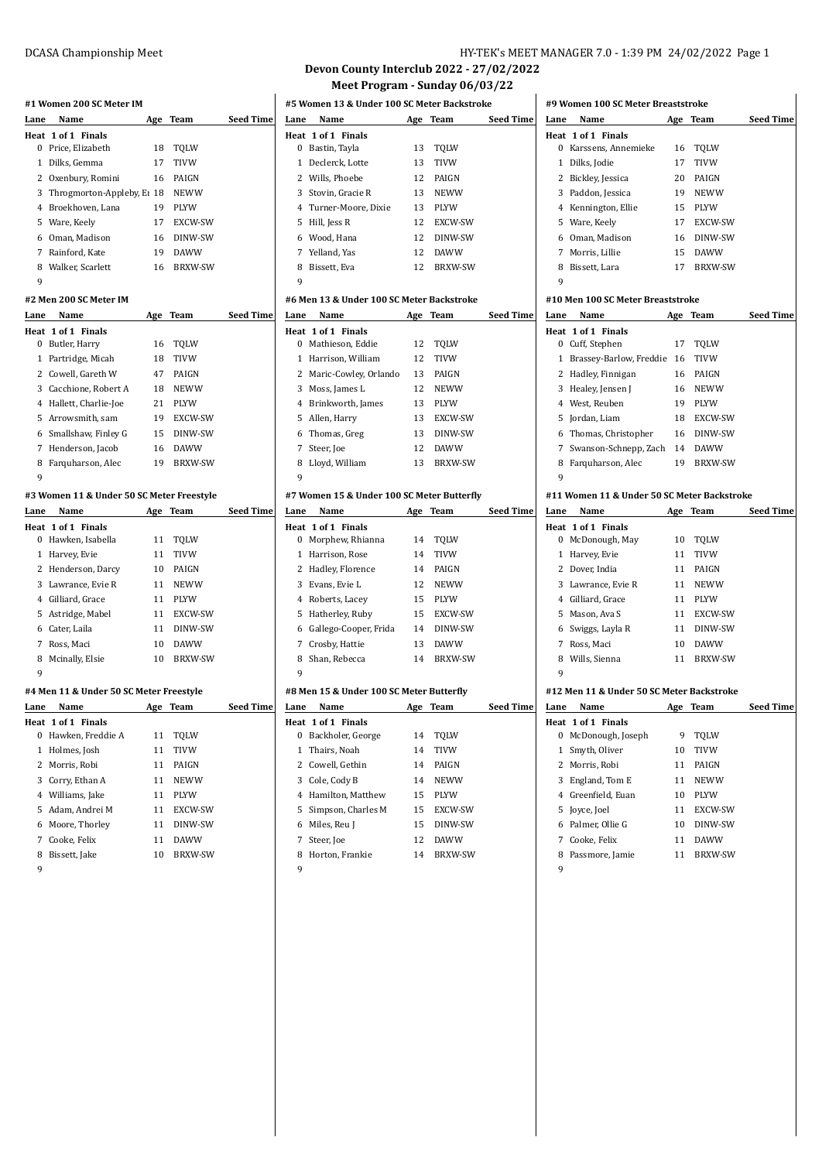# **#1 Women 200 SC Meter IM**

| Lane | Name                                      | Age | Team           | <b>Seed Time</b> |
|------|-------------------------------------------|-----|----------------|------------------|
|      | Heat 1 of 1 Finals                        |     |                |                  |
|      | 0 Price, Elizabeth                        | 18  | TQLW           |                  |
| 1    | Dilks, Gemma                              | 17  | <b>TIVW</b>    |                  |
|      | 2 Oxenbury, Romini                        | 16  | PAIGN          |                  |
|      | 3 Throgmorton-Appleby, E <sub>1</sub> 18  |     | <b>NEWW</b>    |                  |
|      | 4 Broekhoven. Lana                        | 19  | PLYW           |                  |
|      | 5 Ware, Keely                             |     | 17 EXCW-SW     |                  |
|      | 6 Oman, Madison                           | 16  | DINW-SW        |                  |
|      | 7 Rainford, Kate                          | 19  | <b>DAWW</b>    |                  |
|      | 8 Walker, Scarlett                        | 16  | <b>BRXW-SW</b> |                  |
| 9    |                                           |     |                |                  |
|      | #2 Men 200 SC Meter IM                    |     |                |                  |
| Lane | Name                                      | Age | Team           | <b>Seed Time</b> |
|      | Heat 1 of 1 Finals                        |     |                |                  |
|      | 0 Butler, Harry                           | 16  | <b>TQLW</b>    |                  |
|      | 1 Partridge, Micah                        | 18  | <b>TIVW</b>    |                  |
|      | 2 Cowell, Gareth W                        | 47  | PAIGN          |                  |
|      | 3 Cacchione, Robert A                     | 18  | <b>NEWW</b>    |                  |
|      | 4 Hallett, Charlie-Joe                    | 21  | PLYW           |                  |
|      | 5 Arrowsmith, sam                         |     | 19 EXCW-SW     |                  |
|      | 6 Smallshaw, Finley G                     |     | 15 DINW-SW     |                  |
|      | 7 Henderson, Jacob                        |     | 16 DAWW        |                  |
|      | 8 Farquharson, Alec                       | 19  | <b>BRXW-SW</b> |                  |
| 9    |                                           |     |                |                  |
|      | #3 Women 11 & Under 50 SC Meter Freestyle |     |                |                  |
| Lane | Name                                      | Age | Team           | <b>Seed Time</b> |
|      | Heat 1 of 1 Finals                        |     |                |                  |
|      | n Hawkon Jeaholla                         | 11  | <b>TOI M</b>   |                  |

|   | 0 Hawken, Isabella | 11 | TOLW           |
|---|--------------------|----|----------------|
|   | 1 Harvey, Evie     | 11 | <b>TIVW</b>    |
|   | 2 Henderson, Darcy | 10 | PAIGN          |
|   | 3 Lawrance. Evie R | 11 | <b>NEWW</b>    |
|   | 4 Gilliard, Grace  | 11 | <b>PLYW</b>    |
|   | 5 Astridge, Mabel  | 11 | EXCW-SW        |
|   | 6 Cater, Laila     | 11 | DINW-SW        |
| 7 | Ross, Maci         | 10 | <b>DAWW</b>    |
|   | 8 Mcinally, Elsie  | 10 | <b>BRXW-SW</b> |
| 9 |                    |    |                |

## **#4 Men 11 & Under 50 SC Meter Freestyle**

| Lane | Name               | Age | Team           | Seed Time |
|------|--------------------|-----|----------------|-----------|
|      | Heat 1 of 1 Finals |     |                |           |
| 0    | Hawken, Freddie A  | 11  | TOLW           |           |
| 1    | Holmes, Josh       | 11  | <b>TIVW</b>    |           |
|      | 2 Morris, Robi     | 11  | PAIGN          |           |
|      | 3 Corry, Ethan A   | 11  | <b>NEWW</b>    |           |
|      | 4 Williams, Jake   | 11  | <b>PLYW</b>    |           |
|      | 5 Adam. Andrei M   | 11  | EXCW-SW        |           |
|      | 6 Moore, Thorley   | 11  | DINW-SW        |           |
|      | 7 Cooke, Felix     | 11  | <b>DAWW</b>    |           |
| 8    | Bissett, Jake      | 10  | <b>BRXW-SW</b> |           |
|      |                    |     |                |           |

#### DCASA Championship Meet HY-TEK's MEET MANAGER 7.0 - 1:39 PM 24/02/2022 Page 1

#### **Devon County Interclub 2022 - 27/02/2022 Meet Program - Sunday 06/03/22**

| #5 Women 13 & Under 100 SC Meter Backstroke |                       |     |                |                  |  |  |
|---------------------------------------------|-----------------------|-----|----------------|------------------|--|--|
| Lane                                        | Name                  | Age | Team           | <b>Seed Time</b> |  |  |
|                                             | Heat 1 of 1 Finals    |     |                |                  |  |  |
| 0                                           | Bastin, Tayla         | 13  | TOLW           |                  |  |  |
|                                             | 1 Declerck, Lotte     | 13  | <b>TIVW</b>    |                  |  |  |
|                                             | 2 Wills, Phoebe       | 12  | PAIGN          |                  |  |  |
|                                             | 3 Stovin, Gracie R    | 13  | <b>NEWW</b>    |                  |  |  |
|                                             | 4 Turner-Moore, Dixie | 13  | <b>PLYW</b>    |                  |  |  |
|                                             | 5 Hill, Jess R        | 12  | EXCW-SW        |                  |  |  |
|                                             | 6 Wood, Hana          | 12  | DINW-SW        |                  |  |  |
|                                             | 7 Yelland, Yas        | 12  | <b>DAWW</b>    |                  |  |  |
| 8                                           | Bissett, Eva          | 12  | <b>BRXW-SW</b> |                  |  |  |
| 9                                           |                       |     |                |                  |  |  |

#### **#6 Men 13 & Under 100 SC Meter Backstroke**

| Lane | Name                    |    | Age Team       | <b>Seed Time</b> |
|------|-------------------------|----|----------------|------------------|
|      | Heat 1 of 1 Finals      |    |                |                  |
|      | 0 Mathieson, Eddie      | 12 | TOLW           |                  |
|      | 1 Harrison, William     | 12 | <b>TIVW</b>    |                  |
|      | 2 Maric-Cowley, Orlando | 13 | PAIGN          |                  |
|      | 3 Moss, James L         | 12 | <b>NEWW</b>    |                  |
|      | 4 Brinkworth, James     | 13 | <b>PLYW</b>    |                  |
|      | 5 Allen, Harry          | 13 | EXCW-SW        |                  |
|      | 6 Thomas, Greg          | 13 | DINW-SW        |                  |
| 7    | Steer, Joe              | 12 | <b>DAWW</b>    |                  |
| 8    | Lloyd, William          | 13 | <b>BRXW-SW</b> |                  |
| q    |                         |    |                |                  |

#### **#7 Women 15 & Under 100 SC Meter Butterfly**

| Lane | Name                    | Age | Team           | Seed Time |
|------|-------------------------|-----|----------------|-----------|
|      | Heat 1 of 1 Finals      |     |                |           |
|      | 0 Morphew, Rhianna      | 14  | TOLW           |           |
| 1.   | Harrison. Rose          | 14  | <b>TIVW</b>    |           |
|      | 2 Hadley, Florence      | 14  | <b>PAIGN</b>   |           |
| 3    | Evans. Evie L           | 12  | <b>NEWW</b>    |           |
|      | 4 Roberts, Lacey        | 15  | <b>PLYW</b>    |           |
|      | 5 Hatherley, Ruby       | 15  | EXCW-SW        |           |
|      | 6 Gallego-Cooper, Frida | 14  | DINW-SW        |           |
|      | 7 Crosby, Hattie        | 13  | <b>DAWW</b>    |           |
| 8    | Shan, Rebecca           | 14  | <b>BRXW-SW</b> |           |
| 9    |                         |     |                |           |

#### **#8 Men 15 & Under 100 SC Meter Butterfly**

| Lane | Name                 | Age | Team           | Seed Time |
|------|----------------------|-----|----------------|-----------|
|      | Heat 1 of 1 Finals   |     |                |           |
| 0    | Backholer, George    | 14  | TOLW           |           |
|      | 1 Thairs. Noah       | 14  | <b>TIVW</b>    |           |
|      | 2 Cowell. Gethin     | 14  | PAIGN          |           |
|      | 3 Cole, Cody B       | 14  | <b>NEWW</b>    |           |
|      | 4 Hamilton, Matthew  | 15  | <b>PLYW</b>    |           |
|      | 5 Simpson, Charles M | 15  | EXCW-SW        |           |
|      | 6 Miles, Reu J       | 15  | DINW-SW        |           |
| 7    | Steer, Joe           | 12  | <b>DAWW</b>    |           |
| 8    | Horton, Frankie      | 14  | <b>BRXW-SW</b> |           |
|      |                      |     |                |           |

#### 

# **#9 Women 100 SC Meter Breaststroke**

| Lane                              | Name                | Age | Team           | Seed Time |  |  |  |
|-----------------------------------|---------------------|-----|----------------|-----------|--|--|--|
|                                   | Heat 1 of 1 Finals  |     |                |           |  |  |  |
| 0                                 | Karssens, Annemieke | 16  | TOLW           |           |  |  |  |
| 1                                 | Dilks, Jodie        | 17  | <b>TIVW</b>    |           |  |  |  |
|                                   | 2 Bickley, Jessica  | 20  | PAIGN          |           |  |  |  |
|                                   | 3 Paddon, Jessica   | 19  | <b>NEWW</b>    |           |  |  |  |
|                                   | 4 Kennington, Ellie | 15  | <b>PLYW</b>    |           |  |  |  |
|                                   | 5 Ware, Keely       | 17  | EXCW-SW        |           |  |  |  |
|                                   | 6 Oman, Madison     | 16  | DINW-SW        |           |  |  |  |
| 7                                 | Morris, Lillie      | 15  | <b>DAWW</b>    |           |  |  |  |
| 8                                 | Bissett, Lara       | 17  | <b>BRXW-SW</b> |           |  |  |  |
| 9                                 |                     |     |                |           |  |  |  |
| #10 Men 100 SC Meter Breaststroke |                     |     |                |           |  |  |  |

#### **Lane Name Age Team Seed Time Heat 1 of 1 Finals** Cuff, Stephen 17 TQLW Brassey-Barlow, Freddie 16 TIVW Hadley, Finnigan 16 PAIGN 3 Healey, Jensen J 16 NEWW West, Reuben 19 PLYW Jordan, Liam 18 EXCW-SW Thomas, Christopher 16 DINW-SW Swanson-Schnepp, Zach 14 DAWW Farquharson, Alec 19 BRXW-SW  $\overline{9}$ **#11 Women 11 & Under 50 SC Meter Backstroke**

| Lane | Name                                      |     | Age Team       | <b>Seed Time</b> |
|------|-------------------------------------------|-----|----------------|------------------|
|      | Heat 1 of 1 Finals                        |     |                |                  |
| 0    | McDonough, May                            | 10  | TOLW           |                  |
| 1    | Harvey, Evie                              | 11  | <b>TIVW</b>    |                  |
| 2    | Dover, India                              | 11  | PAIGN          |                  |
|      | 3 Lawrance, Evie R                        | 11  | <b>NEWW</b>    |                  |
|      | 4 Gilliard, Grace                         | 11  | <b>PLYW</b>    |                  |
| 5.   | Mason, Ava S                              | 11  | EXCW-SW        |                  |
| 6    | Swiggs, Layla R                           | 11  | DINW-SW        |                  |
| 7    | Ross, Maci                                | 10  | <b>DAWW</b>    |                  |
| 8    | Wills, Sienna                             | 11  | <b>BRXW-SW</b> |                  |
| 9    |                                           |     |                |                  |
|      | #12 Men 11 & Under 50 SC Meter Backstroke |     |                |                  |
| Lane | Name                                      | Age | Team           | <b>Seed Time</b> |
|      | Heat 1 of 1 Finals                        |     |                |                  |
| 0    | McDonough, Joseph                         | 9   | TOLW           |                  |

|   | 1 Smyth, Oliver    | 10 | <b>TIVW</b>    |
|---|--------------------|----|----------------|
|   | 2 Morris, Robi     | 11 | <b>PAIGN</b>   |
|   | 3 England, Tom E   | 11 | <b>NEWW</b>    |
|   | 4 Greenfield, Euan | 10 | <b>PIYW</b>    |
|   | 5 Joyce, Joel      | 11 | EXCW-SW        |
|   | 6 Palmer, Ollie G  | 10 | DINW-SW        |
|   | 7 Cooke, Felix     | 11 | <b>DAWW</b>    |
| 8 | Passmore, Jamie    | 11 | <b>RRXW-SW</b> |
|   |                    |    |                |

####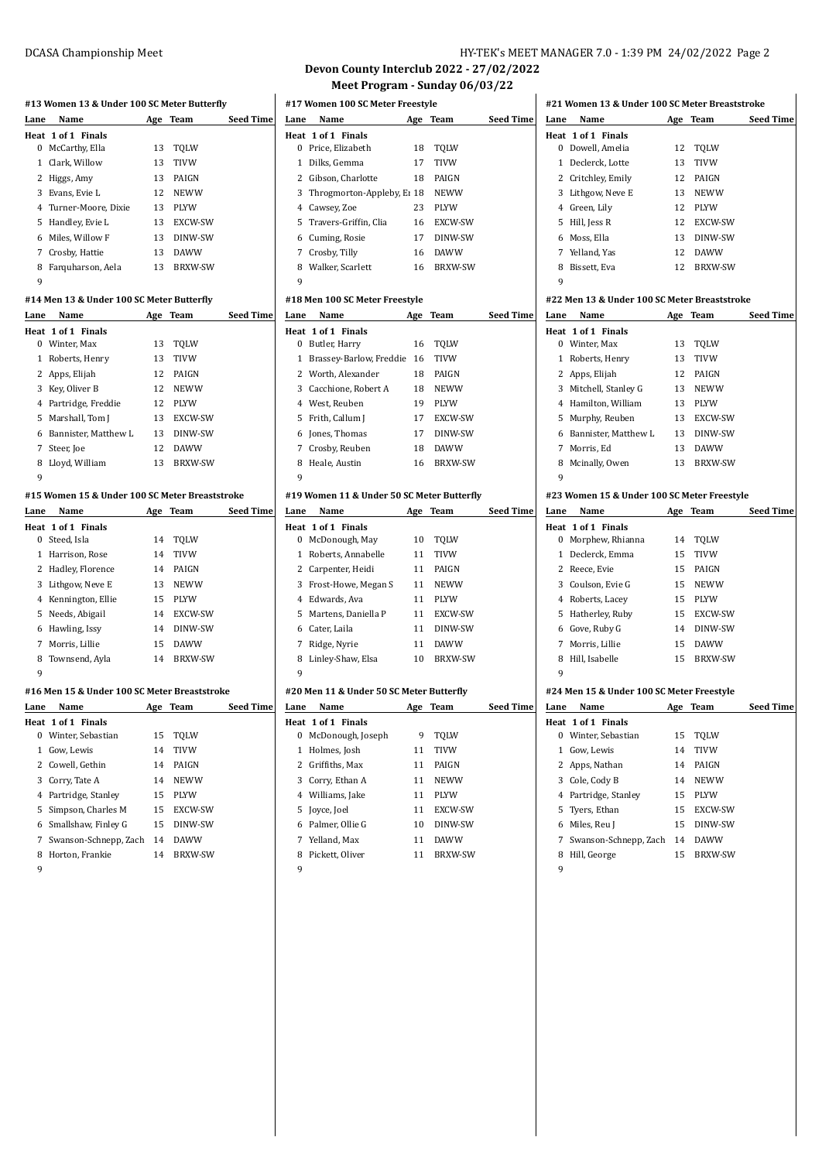| DCASA Championship Meet | HY-TEK's MEET MANAGER 7.0 - 1:39 PM 24/02/2022 Page 2 |
|-------------------------|-------------------------------------------------------|
|-------------------------|-------------------------------------------------------|

**Devon County Interclub 2022 - 27/02/2022 Meet Program - Sunday 06/03/22**

|      | #13 Women 13 & Under 100 SC Meter Butterfly    |    |                |                  | #17 Women 100 SC Meter Freestyle |                                            |     |                |                  |
|------|------------------------------------------------|----|----------------|------------------|----------------------------------|--------------------------------------------|-----|----------------|------------------|
| Lane | Name                                           |    | Age Team       | <b>Seed Time</b> | Lane                             | Name                                       |     | Age Team       | <b>Seed Time</b> |
|      | Heat 1 of 1 Finals                             |    |                |                  |                                  | Heat 1 of 1 Finals                         |     |                |                  |
|      | 0 McCarthy, Ella                               | 13 | <b>TQLW</b>    |                  |                                  | 0 Price, Elizabeth                         | 18  | <b>TQLW</b>    |                  |
|      | 1 Clark, Willow                                | 13 | <b>TIVW</b>    |                  |                                  | 1 Dilks, Gemma                             | 17  | <b>TIVW</b>    |                  |
|      | 2 Higgs, Amy                                   | 13 | PAIGN          |                  | 2                                | Gibson, Charlotte                          | 18  | PAIGN          |                  |
|      | 3 Evans, Evie L                                | 12 | <b>NEWW</b>    |                  |                                  | 3 Throgmorton-Appleby, E1 18               |     | <b>NEWW</b>    |                  |
|      | 4 Turner-Moore, Dixie                          | 13 | PLYW           |                  |                                  | 4 Cawsey, Zoe                              | 23  | PLYW           |                  |
|      | 5 Handley, Evie L                              | 13 | EXCW-SW        |                  |                                  | 5 Travers-Griffin, Clia                    | 16  | EXCW-SW        |                  |
|      | 6 Miles, Willow F                              | 13 | DINW-SW        |                  | 6                                | Cuming, Rosie                              | 17  | DINW-SW        |                  |
|      | 7 Crosby, Hattie                               | 13 | <b>DAWW</b>    |                  |                                  | 7 Crosby, Tilly                            | 16  | <b>DAWW</b>    |                  |
|      | 8 Farquharson, Aela                            | 13 | <b>BRXW-SW</b> |                  | 8                                | Walker, Scarlett                           | 16  | <b>BRXW-SW</b> |                  |
| 9    |                                                |    |                |                  | 9                                |                                            |     |                |                  |
|      | #14 Men 13 & Under 100 SC Meter Butterfly      |    |                |                  |                                  | #18 Men 100 SC Meter Freestyle             |     |                |                  |
| Lane | Name                                           |    | Age Team       | Seed Time        | Lane                             | Name                                       | Age | <b>Team</b>    | <b>Seed Time</b> |
|      | Heat 1 of 1 Finals                             |    |                |                  |                                  | Heat 1 of 1 Finals                         |     |                |                  |
|      | 0 Winter, Max                                  | 13 | TQLW           |                  |                                  | 0 Butler, Harry                            | 16  | TQLW           |                  |
|      | 1 Roberts, Henry                               | 13 | <b>TIVW</b>    |                  |                                  | 1 Brassey-Barlow, Freddie 16               |     | <b>TIVW</b>    |                  |
|      | 2 Apps, Elijah                                 | 12 | PAIGN          |                  |                                  | 2 Worth, Alexander                         | 18  | PAIGN          |                  |
|      | 3 Key, Oliver B                                | 12 | <b>NEWW</b>    |                  |                                  | 3 Cacchione, Robert A                      | 18  | <b>NEWW</b>    |                  |
|      | 4 Partridge, Freddie                           | 12 | PLYW           |                  |                                  | 4 West, Reuben                             | 19  | PLYW           |                  |
|      | 5 Marshall, Tom J                              | 13 | EXCW-SW        |                  |                                  | 5 Frith, Callum J                          | 17  | EXCW-SW        |                  |
|      | 6 Bannister, Matthew L                         | 13 | DINW-SW        |                  |                                  | 6 Jones, Thomas                            | 17  | DINW-SW        |                  |
|      | 7 Steer, Joe                                   | 12 | <b>DAWW</b>    |                  |                                  | 7 Crosby, Reuben                           | 18  | <b>DAWW</b>    |                  |
|      | 8 Lloyd, William                               | 13 | <b>BRXW-SW</b> |                  | 8                                | Heale, Austin                              | 16  | <b>BRXW-SW</b> |                  |
| 9    |                                                |    |                |                  | 9                                |                                            |     |                |                  |
|      | #15 Women 15 & Under 100 SC Meter Breaststroke |    |                |                  |                                  | #19 Women 11 & Under 50 SC Meter Butterfly |     |                |                  |
| Lane | Name                                           |    | Age Team       | Seed Time        | Lane                             | Name                                       |     | Age Team       | Seed Time        |
|      | Heat 1 of 1 Finals                             |    |                |                  |                                  | Heat 1 of 1 Finals                         |     |                |                  |
|      | 0 Steed, Isla                                  | 14 | TQLW           |                  |                                  | 0 McDonough, May                           | 10  | TQLW           |                  |
|      | 1 Harrison, Rose                               | 14 | TIVW           |                  |                                  | 1 Roberts, Annabelle                       | 11  | TIVW           |                  |
|      | 2 Hadley, Florence                             | 14 | PAIGN          |                  |                                  | 2 Carpenter, Heidi                         | 11  | PAIGN          |                  |
|      | 3 Lithgow, Neve E                              | 13 | <b>NEWW</b>    |                  |                                  | 3 Frost-Howe, Megan S                      | 11  | <b>NEWW</b>    |                  |
|      | 4 Kennington, Ellie                            | 15 | <b>PLYW</b>    |                  |                                  | 4 Edwards, Ava                             | 11  | PLYW           |                  |
|      | 5 Needs, Abigail                               | 14 | EXCW-SW        |                  | 5                                | Martens, Daniella P                        | 11  | EXCW-SW        |                  |
|      | 6 Hawling, Issy                                | 14 | DINW-SW        |                  |                                  | 6 Cater, Laila                             | 11  | DINW-SW        |                  |
|      | 7 Morris, Lillie                               | 15 | <b>DAWW</b>    |                  |                                  | 7 Ridge, Nyrie                             | 11  | <b>DAWW</b>    |                  |
| 8    | Townsend, Ayla                                 | 14 | <b>BRXW-SW</b> |                  | 8                                | Linley-Shaw, Elsa                          | 10  | <b>BRXW-SW</b> |                  |
| 9    |                                                |    |                |                  | 9                                |                                            |     |                |                  |
|      | #16 Men 15 & Under 100 SC Meter Breaststroke   |    |                |                  |                                  | #20 Men 11 & Under 50 SC Meter Butterfly   |     |                |                  |
| Lane | Name                                           |    | Age Team       | <b>Seed Time</b> | Lane                             | Name                                       |     | Age Team       | Seed Time        |
|      | Heat 1 of 1 Finals                             |    |                |                  |                                  | Heat 1 of 1 Finals                         |     |                |                  |
|      | 0 Winter, Sebastian                            | 15 | TQLW           |                  |                                  | 0 McDonough, Joseph                        | 9   | TQLW           |                  |
|      | 1 Gow, Lewis                                   | 14 | TIVW           |                  |                                  | 1 Holmes, Josh                             | 11  | <b>TIVW</b>    |                  |
|      | 2 Cowell, Gethin                               | 14 | PAIGN          |                  |                                  | 2 Griffiths, Max                           | 11  | PAIGN          |                  |
|      | 3 Corry, Tate A                                | 14 | <b>NEWW</b>    |                  |                                  | 3 Corry, Ethan A                           | 11  | <b>NEWW</b>    |                  |
|      | 4 Partridge, Stanley                           | 15 | PLYW           |                  |                                  | 4 Williams, Jake                           | 11  | PLYW           |                  |
|      | 5 Simpson, Charles M                           | 15 | EXCW-SW        |                  |                                  | 5 Joyce, Joel                              | 11  | EXCW-SW        |                  |

 Palmer, Ollie G 10 DINW-SW Yelland, Max 11 DAWW Pickett, Oliver 11 BRXW-SW

|    | 0 Winter, Sebastian     | 15 | TOLW           |
|----|-------------------------|----|----------------|
| 1. | Gow, Lewis              | 14 | <b>TIVW</b>    |
|    | 2 Cowell, Gethin        | 14 | PAIGN          |
|    | 3 Corry, Tate A         | 14 | <b>NEWW</b>    |
|    | 4 Partridge, Stanley    | 15 | <b>PLYW</b>    |
|    | 5 Simpson, Charles M    | 15 | EXCW-SW        |
|    | 6 Smallshaw, Finley G   | 15 | DINW-SW        |
|    | 7 Swanson-Schnepp, Zach | 14 | <b>DAWW</b>    |
| 8  | Horton, Frankie         | 14 | <b>BRXW-SW</b> |
|    |                         |    |                |

|      |                                              |          | #21 Women 13 & Under 100 SC Meter Breaststroke |                                             |  |  |  |
|------|----------------------------------------------|----------|------------------------------------------------|---------------------------------------------|--|--|--|
| Lane | Name                                         | Age      | Team                                           | <b>Seed Time</b>                            |  |  |  |
|      | Heat 1 of 1 Finals                           |          |                                                |                                             |  |  |  |
|      | 0 Dowell, Amelia                             | 12       | TQLW                                           |                                             |  |  |  |
|      | 1 Declerck, Lotte                            | 13       | TIVW                                           |                                             |  |  |  |
|      | 2 Critchley, Emily                           | 12       | PAIGN                                          |                                             |  |  |  |
|      | 3 Lithgow, Neve E                            | 13       | <b>NEWW</b>                                    |                                             |  |  |  |
|      | 4 Green, Lily                                | 12       | PLYW<br>12 EXCW-SW                             |                                             |  |  |  |
|      | 5 Hill, Jess R<br>6 Moss, Ella               |          | 13 DINW-SW                                     |                                             |  |  |  |
|      |                                              |          |                                                |                                             |  |  |  |
|      | 7 Yelland, Yas                               | 12       | 12 DAWW<br><b>BRXW-SW</b>                      |                                             |  |  |  |
| 9    | 8 Bissett, Eva                               |          |                                                |                                             |  |  |  |
|      |                                              |          |                                                |                                             |  |  |  |
|      | #22 Men 13 & Under 100 SC Meter Breaststroke |          |                                                |                                             |  |  |  |
|      | Lane Name                                    |          | Age Team Seed Time                             |                                             |  |  |  |
|      | Heat 1 of 1 Finals                           |          |                                                |                                             |  |  |  |
|      | 0 Winter, Max                                | 13       | TQLW                                           |                                             |  |  |  |
|      | 1 Roberts, Henry                             | 13       | TIVW                                           |                                             |  |  |  |
|      | 2 Apps, Elijah                               | 12       | PAIGN                                          |                                             |  |  |  |
|      | 3 Mitchell, Stanley G                        |          | 13 NEWW                                        |                                             |  |  |  |
|      | 4 Hamilton, William                          |          | 13 PLYW                                        |                                             |  |  |  |
|      | 5 Murphy, Reuben                             |          | 13 EXCW-SW                                     |                                             |  |  |  |
|      | 6 Bannister, Matthew L                       |          | 13 DINW-SW                                     |                                             |  |  |  |
|      | 7 Morris, Ed                                 | 13       | DAWW                                           |                                             |  |  |  |
|      | 8 Mcinally, Owen                             |          | 13 BRXW-SW                                     |                                             |  |  |  |
| 9    |                                              |          |                                                |                                             |  |  |  |
|      |                                              |          |                                                | #23 Women 15 & Under 100 SC Meter Freestyle |  |  |  |
|      |                                              |          |                                                |                                             |  |  |  |
|      | Lane Name                                    |          | Age Team Seed Time                             |                                             |  |  |  |
|      | Heat 1 of 1 Finals                           |          |                                                |                                             |  |  |  |
|      | 0 Morphew, Rhianna                           | 14       | TQLW                                           |                                             |  |  |  |
|      | 1 Declerck, Emma                             | 15       | TIVW                                           |                                             |  |  |  |
|      | 2 Reece, Evie                                | 15       | PAIGN                                          |                                             |  |  |  |
|      | 3 Coulson, Evie G                            |          | 15 NEWW                                        |                                             |  |  |  |
|      | 4 Roberts, Lacey                             | 15       | PLYW                                           |                                             |  |  |  |
|      | 5 Hatherley, Ruby                            | 15       | EXCW-SW                                        |                                             |  |  |  |
|      | 6 Gove, Ruby G                               | 14       | DINW-SW                                        |                                             |  |  |  |
|      | 7 Morris, Lillie                             | 15       | <b>DAWW</b>                                    |                                             |  |  |  |
|      | 8 Hill, Isabelle                             |          | 15 BRXW-SW                                     |                                             |  |  |  |
| 9    |                                              |          |                                                |                                             |  |  |  |
|      | #24 Men 15 & Under 100 SC Meter Freestyle    |          |                                                |                                             |  |  |  |
|      | <u>Lane Name</u>                             |          | <u>Age Team</u>                                | Seed Time                                   |  |  |  |
|      | Heat 1 of 1 Finals                           |          |                                                |                                             |  |  |  |
|      | 0 Winter, Sebastian                          | 15       | TQLW                                           |                                             |  |  |  |
|      | 1 Gow, Lewis                                 | 14       | TIVW                                           |                                             |  |  |  |
|      | 2 Apps, Nathan                               | 14       | PAIGN                                          |                                             |  |  |  |
|      | 3 Cole, Cody B                               | 14       | <b>NEWW</b>                                    |                                             |  |  |  |
|      | 4 Partridge, Stanley                         | 15       | PLYW                                           |                                             |  |  |  |
|      | 5 Tyers, Ethan                               | 15       | EXCW-SW                                        |                                             |  |  |  |
|      | 6 Miles, Reu J                               | 15       | DINW-SW                                        |                                             |  |  |  |
|      | 7 Swanson-Schnepp, Zach<br>8 Hill, George    | 14<br>15 | <b>DAWW</b><br><b>BRXW-SW</b>                  |                                             |  |  |  |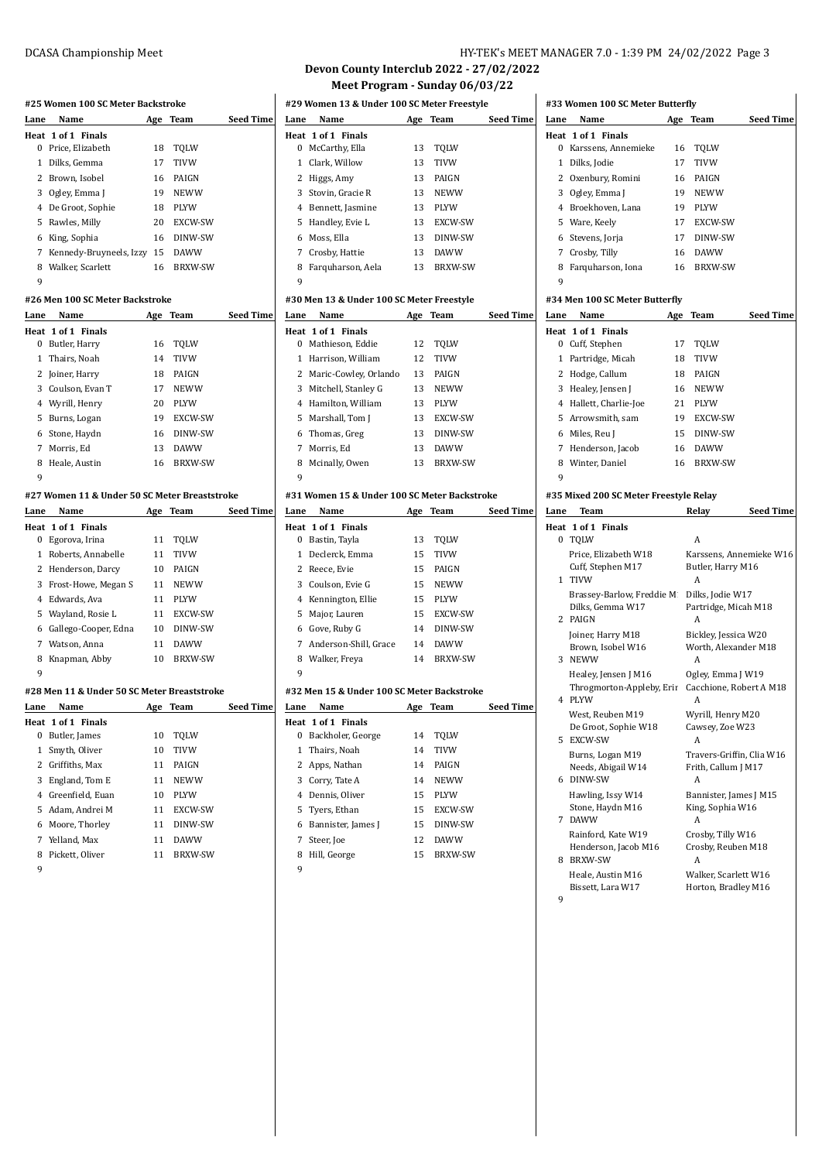# **#25 Women 100 SC Meter Backstroke**

| Lane          | Name                            | Age | Team           | <b>Seed Time</b> |
|---------------|---------------------------------|-----|----------------|------------------|
|               | Heat 1 of 1 Finals              |     |                |                  |
| 0             | Price, Elizabeth                | 18  | TQLW           |                  |
| 1             | Dilks, Gemma                    | 17  | <b>TIVW</b>    |                  |
| $\mathcal{L}$ | Brown, Isobel                   | 16  | PAIGN          |                  |
| 3             | Ogley, Emma J                   | 19  | <b>NEWW</b>    |                  |
| 4             | De Groot, Sophie                | 18  | <b>PLYW</b>    |                  |
| 5             | Rawles, Milly                   | 20  | EXCW-SW        |                  |
| 6             | King, Sophia                    | 16  | DINW-SW        |                  |
| 7             | Kennedy-Bruyneels, Izzy         | 15  | <b>DAWW</b>    |                  |
| 8             | Walker, Scarlett                | 16  | <b>BRXW-SW</b> |                  |
| 9             |                                 |     |                |                  |
|               | #26 Men 100 SC Meter Backstroke |     |                |                  |
| Lane          | Name                            |     | Age Team       | <b>Seed Time</b> |
|               | Heat 1 of 1 Finals              |     |                |                  |
| $\Omega$      | Butler, Harry                   | 16  | TOLW           |                  |
| 1             | Thairs, Noah                    | 14  | <b>TIVW</b>    |                  |
| 2             | Joiner, Harry                   | 18  | PAIGN          |                  |
| 3             | Coulson, Evan T                 | 17  | <b>NEWW</b>    |                  |
|               | 4 Wyrill, Henry                 | 20  | <b>PLYW</b>    |                  |
|               |                                 |     |                |                  |

|   | 4 Wyrill, Henry | 20 | <b>PLYW</b>    |
|---|-----------------|----|----------------|
|   | 5 Burns, Logan  | 19 | <b>EXCW-SW</b> |
|   | 6 Stone, Haydn  | 16 | DINW-SW        |
|   | 7 Morris, Ed    | 13 | <b>DAWW</b>    |
|   | 8 Heale, Austin | 16 | <b>BRXW-SW</b> |
| 9 |                 |    |                |
|   |                 |    |                |

### **#27 Women 11 & Under 50 SC Meter Breaststroke**

| Lane | Name                 | Age | Team           | <b>Seed Time</b> |
|------|----------------------|-----|----------------|------------------|
|      | Heat 1 of 1 Finals   |     |                |                  |
| 0    | Egorova, Irina       | 11  | TOLW           |                  |
| 1    | Roberts, Annabelle   | 11  | <b>TIVW</b>    |                  |
|      | 2 Henderson, Darcy   | 10  | PAIGN          |                  |
| 3    | Frost-Howe, Megan S  | 11  | <b>NEWW</b>    |                  |
|      | 4 Edwards, Ava       | 11  | <b>PLYW</b>    |                  |
| 5.   | Wayland, Rosie L     | 11  | EXCW-SW        |                  |
| 6    | Gallego-Cooper, Edna | 10  | DINW-SW        |                  |
|      | Watson, Anna         | 11  | <b>DAWW</b>    |                  |
| 8    | Knapman, Abby        | 10  | <b>BRXW-SW</b> |                  |
| 9    |                      |     |                |                  |

## **#28 Men 11 & Under 50 SC Meter Breaststroke**

| Lane | Name               | Age | Team           | <b>Seed Time</b> |
|------|--------------------|-----|----------------|------------------|
|      | Heat 1 of 1 Finals |     |                |                  |
| 0    | Butler, James      | 10  | TOLW           |                  |
|      | 1 Smyth, Oliver    | 10  | <b>TIVW</b>    |                  |
|      | 2 Griffiths, Max   | 11  | PAIGN          |                  |
| 3    | England, Tom E     | 11  | <b>NEWW</b>    |                  |
|      | 4 Greenfield, Euan | 10  | <b>PLYW</b>    |                  |
|      | 5 Adam, Andrei M   | 11  | EXCW-SW        |                  |
|      | 6 Moore, Thorley   | 11  | DINW-SW        |                  |
|      | 7 Yelland, Max     | 11  | <b>DAWW</b>    |                  |
| 8    | Pickett. Oliver    | 11  | <b>BRXW-SW</b> |                  |
|      |                    |     |                |                  |

## DCASA Championship Meet **HY-TEK's MEET MANAGER 7.0 - 1:39 PM 24/02/2022** Page 3

#### **Devon County Interclub 2022 - 27/02/2022 Meet Program - Sunday 06/03/22**

|      | #29 Women 13 & Under 100 SC Meter Freestyle |    |                |                  |
|------|---------------------------------------------|----|----------------|------------------|
| Lane | Name                                        |    | Age Team       | <b>Seed Time</b> |
|      | Heat 1 of 1 Finals                          |    |                |                  |
| 0    | McCarthy, Ella                              | 13 | TOLW           |                  |
|      | 1 Clark, Willow                             | 13 | <b>TIVW</b>    |                  |
| 2    | Higgs, Amy                                  | 13 | PAIGN          |                  |
|      | 3 Stovin, Gracie R                          | 13 | <b>NEWW</b>    |                  |
|      | 4 Bennett, Jasmine                          | 13 | <b>PLYW</b>    |                  |
| 5.   | Handley, Evie L                             | 13 | EXCW-SW        |                  |
|      | 6 Moss, Ella                                | 13 | DINW-SW        |                  |
| 7    | Crosby, Hattie                              | 13 | <b>DAWW</b>    |                  |
| 8    | Farquharson, Aela                           | 13 | <b>BRXW-SW</b> |                  |
| 9    |                                             |    |                |                  |

#### **#30 Men 13 & Under 100 SC Meter Freestyle**

| Lane | Name                    |    | Age Team       | <b>Seed Time</b> |
|------|-------------------------|----|----------------|------------------|
|      | Heat 1 of 1 Finals      |    |                |                  |
|      | 0 Mathieson. Eddie      | 12 | TOLW           |                  |
|      | 1 Harrison, William     | 12 | <b>TIVW</b>    |                  |
|      | 2 Maric-Cowley, Orlando | 13 | PAIGN          |                  |
|      | 3 Mitchell, Stanley G   | 13 | <b>NEWW</b>    |                  |
|      | 4 Hamilton. William     | 13 | <b>PLYW</b>    |                  |
|      | 5 Marshall, Tom J       | 13 | EXCW-SW        |                  |
|      | 6 Thomas, Greg          | 13 | DINW-SW        |                  |
| 7    | Morris. Ed              | 13 | <b>DAWW</b>    |                  |
| 8    | Mcinally, Owen          | 13 | <b>BRXW-SW</b> |                  |
| q    |                         |    |                |                  |

#### **#31 Women 15 & Under 100 SC Meter Backstroke**

| Lane | Name                    | Age | Team           | <b>Seed Time</b> |
|------|-------------------------|-----|----------------|------------------|
|      | Heat 1 of 1 Finals      |     |                |                  |
| 0    | Bastin, Tayla           | 13  | TOLW           |                  |
|      | 1 Declerck, Emma        | 15  | <b>TIVW</b>    |                  |
|      | 2 Reece. Evie           | 15  | PAIGN          |                  |
|      | 3 Coulson, Evie G       | 15  | <b>NEWW</b>    |                  |
|      | 4 Kennington, Ellie     | 15  | <b>PLYW</b>    |                  |
| 5.   | Major, Lauren           | 15  | EXCW-SW        |                  |
| 6    | Gove, Ruby G            | 14  | DINW-SW        |                  |
|      | 7 Anderson-Shill, Grace | 14  | <b>DAWW</b>    |                  |
| 8    | Walker, Freya           | 14  | <b>BRXW-SW</b> |                  |
| 9    |                         |     |                |                  |

#### **#32 Men 15 & Under 100 SC Meter Backstroke**

| Lane | Name                 | Age | Team           | Seed Time |
|------|----------------------|-----|----------------|-----------|
|      | Heat 1 of 1 Finals   |     |                |           |
| 0    | Backholer, George    | 14  | TOLW           |           |
|      | 1 Thairs, Noah       | 14  | <b>TIVW</b>    |           |
|      | 2 Apps, Nathan       | 14  | PAIGN          |           |
|      | 3 Corry, Tate A      | 14  | <b>NEWW</b>    |           |
|      | 4 Dennis, Oliver     | 15  | <b>PLYW</b>    |           |
|      | 5 Tyers, Ethan       | 15  | <b>EXCW-SW</b> |           |
|      | 6 Bannister, James J | 15  | DINW-SW        |           |
| 7    | Steer, Joe           | 12  | <b>DAWW</b>    |           |
| 8    | Hill, George         | 15  | <b>BRXW-SW</b> |           |
|      |                      |     |                |           |

## **#33 Women 100 SC Meter Butterfly**

|                | нээ июшен тоо эс месег бишегну |     |                |                  |
|----------------|--------------------------------|-----|----------------|------------------|
| Lane           | Name                           | Age | Team           | <b>Seed Time</b> |
|                | Heat 1 of 1 Finals             |     |                |                  |
| 0              | Karssens, Annemieke            | 16  | TOLW           |                  |
| 1              | Dilks, Jodie                   | 17  | <b>TIVW</b>    |                  |
| 2              | Oxenbury, Romini               | 16  | PAIGN          |                  |
|                | 3 Ogley, Emma J                | 19  | <b>NEWW</b>    |                  |
| 4              | Broekhoven, Lana               | 19  | <b>PLYW</b>    |                  |
|                | 5 Ware, Keely                  | 17  | EXCW-SW        |                  |
| 6              | Stevens, Jorja                 | 17  | DINW-SW        |                  |
| 7              | Crosby, Tilly                  | 16  | <b>DAWW</b>    |                  |
| 8              | Farquharson, Iona              | 16  | <b>BRXW-SW</b> |                  |
| 9              |                                |     |                |                  |
|                | #34 Men 100 SC Meter Butterfly |     |                |                  |
| Lane           | Name                           | Age | Team           | <b>Seed Time</b> |
|                | Heat 1 of 1 Finals             |     |                |                  |
|                | 0 Cuff, Stephen                | 17  | <b>TOLW</b>    |                  |
| 1              | Partridge, Micah               | 18  | TIVW           |                  |
| 2              | Hodge, Callum                  | 18  | PAIGN          |                  |
| 3              | Healey, Jensen J               | 16  | <b>NEWW</b>    |                  |
| $\overline{4}$ | Hallett, Charlie-Joe           | 21  | <b>PLYW</b>    |                  |
| 5.             | Arrowsmith, sam                | 19  | EXCW-SW        |                  |
| 6              | Miles, Reu J                   | 15  | DINW-SW        |                  |
| 7              | Henderson, Jacob               | 16  | <b>DAWW</b>    |                  |
| 8              | Winter, Daniel                 | 16  | <b>BRXW-SW</b> |                  |
| 9              |                                |     |                |                  |
|                |                                |     |                |                  |

#### **#35 Mixed 200 SC Meter Freestyle Relay**

| Lane | <b>Team</b>                                                 | <b>Seed Time</b><br>Relay                             |
|------|-------------------------------------------------------------|-------------------------------------------------------|
|      | Heat 1 of 1 Finals                                          |                                                       |
|      | 0 TOLW                                                      | A                                                     |
|      | Price, Elizabeth W18<br>Cuff, Stephen M17<br>1 TIVW         | Karssens, Annemieke W16<br>Butler, Harry M16<br>А     |
|      | Brassey-Barlow, Freddie M.<br>Dilks. Gemma W17<br>2 PAIGN   | Dilks, Jodie W17<br>Partridge, Micah M18<br>А         |
|      | Joiner, Harry M18<br>Brown, Isobel W16<br>3 NEWW            | Bickley, Jessica W20<br>Worth, Alexander M18<br>A     |
|      | Healey, Jensen J M16<br>Throgmorton-Appleby, Erir<br>4 PLYW | Ogley, Emma J W19<br>Cacchione, Robert A M18<br>A     |
|      | West, Reuben M19<br>De Groot, Sophie W18<br>5 EXCW-SW       | Wyrill, Henry M20<br>Cawsey, Zoe W23<br>A             |
|      | Burns, Logan M19<br>Needs, Abigail W14<br>6 DINW-SW         | Travers-Griffin, Clia W16<br>Frith, Callum J M17<br>А |
|      | Hawling, Issy W14<br>Stone, Haydn M16<br>7 DAWW             | Bannister, James J M15<br>King, Sophia W16<br>А       |
| 8.   | Rainford, Kate W19<br>Henderson, Jacob M16<br>BRXW-SW       | Crosby, Tilly W16<br>Crosby, Reuben M18<br>A          |
| 9    | Heale, Austin M16<br>Bissett, Lara W17                      | Walker, Scarlett W16<br>Horton, Bradley M16           |